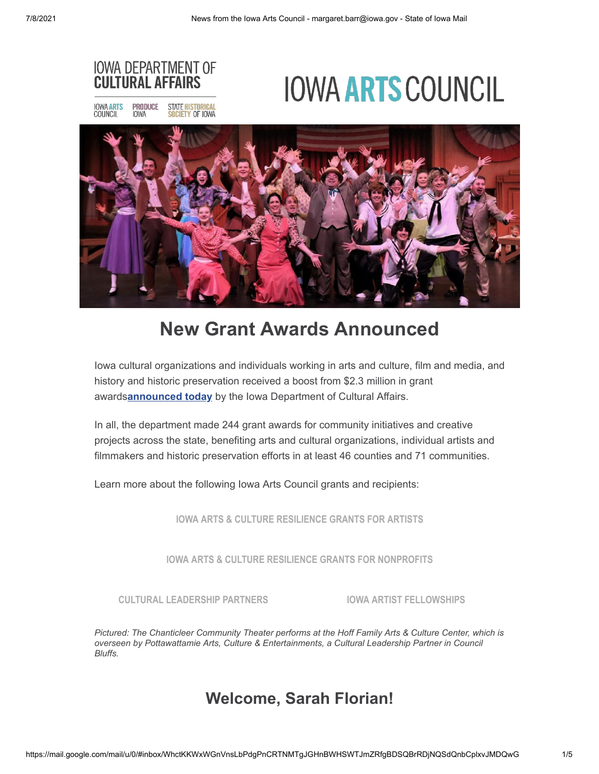

# **New Grant Awards Announced**

Iowa cultural organizations and individuals working in arts and culture, film and media, and history and historic preservation received a boost from \$2.3 million in grant awards**[announced today](https://r20.rs6.net/tn.jsp?f=0011hkJV5o4lfrqeaVnLvhHF4Ad1OytEiTkD1QusyqP3NU_3-Y-bKO9quWOTXvbkZLnStu21WxFGz4KfMVc4mxY4r8cb0IVfaVcJfS4PWpJYXd2AofC67CjKxDfGnz0wmZn0kw0iyWuoTgf3iUMFAb8J6m62jo085gGsaZDz9It4N0UhUMVRvzM2tUtcBU1YI-bdW_Fm5Z2_a_dfuNCC1ayDIugxMeLaeY00MaeA3guQpZX15KVp9P4b-fBriTx6AgBdiX2HUdnvmYEVIkQTEXwqw==&c=bUO0W_YQWc7v9_0gFXD3Q7Gn8bR8DIyMHZxhAFwx-uwoqPe-YG7RPw==&ch=5puikqJVA-QcOKncLG3XIYJWGa6uBT9bwaREJ4Fp2KFSwcfpAiwd4w==)** by the Iowa Department of Cultural Affairs.

In all, the department made 244 grant awards for community initiatives and creative projects across the state, benefiting arts and cultural organizations, individual artists and filmmakers and historic preservation efforts in at least 46 counties and 71 communities.

Learn more about the following Iowa Arts Council grants and recipients:

**[IOWA ARTS & CULTURE RESILIENCE GRANTS FOR ARTISTS](https://r20.rs6.net/tn.jsp?f=0011hkJV5o4lfrqeaVnLvhHF4Ad1OytEiTkD1QusyqP3NU_3-Y-bKO9qqr2ZvvOX2O2WijaRAicKcvinBecOFrC3M6UMjIVcliBTrjrgrmdtoMgsH7fEtgI3O9P6N3T9OVj3p0v3AQli_rWfHClSPVNVPpbvXtJ0RBLAz0oPJ3Pgx2-E-gQdOe9DlCb0jsVnpZrTK_lZi7dfuVoHrmSXmVyU4Ou0G47EmQJ3rEkBbwvt_v4J_Yj2-iraQ1YR-wvSmVbhU_YBQEcHnkQ-uCmOj64XBFRMxttGyM8XFQ5USh8ynk=&c=bUO0W_YQWc7v9_0gFXD3Q7Gn8bR8DIyMHZxhAFwx-uwoqPe-YG7RPw==&ch=5puikqJVA-QcOKncLG3XIYJWGa6uBT9bwaREJ4Fp2KFSwcfpAiwd4w==)**

**[IOWA ARTS & CULTURE RESILIENCE GRANTS FOR NONPROFITS](https://r20.rs6.net/tn.jsp?f=0011hkJV5o4lfrqeaVnLvhHF4Ad1OytEiTkD1QusyqP3NU_3-Y-bKO9qtlk9bBEy0XNGpG6o1ZgwAAHpCSId5Lp9kfREWvA8puS1vMjHNeqiYZTn7Lh1Jl7F9zkv5K2F-emsQ3C-cRSJgsurA2pdY-xUgWKvRbWGhLmW2uKZa9Q_rQfqtv5-wxEKEq7r67Mwq9A4DMJDjuh1RXL_jtoBcBKTXmabxonbuuxxK9_yjBCv84lfi1dnie-uR7Nhdt9fBqu-EWVZLQ_PFpFqOFe-MKAdMeoyO1nFFeu1813z4fjxzHWYxcYmGF-2A==&c=bUO0W_YQWc7v9_0gFXD3Q7Gn8bR8DIyMHZxhAFwx-uwoqPe-YG7RPw==&ch=5puikqJVA-QcOKncLG3XIYJWGa6uBT9bwaREJ4Fp2KFSwcfpAiwd4w==)**

**[CULTURAL LEADERSHIP PARTNERS](https://r20.rs6.net/tn.jsp?f=0011hkJV5o4lfrqeaVnLvhHF4Ad1OytEiTkD1QusyqP3NU_3-Y-bKO9qtlk9bBEy0XNng-nc3lTMbue34THxuxhZZI2QBTRGchX2UrCBoiYbkZazw7Z523uo8g_8c6dVo584kFvP-idZe3bD7WUg3pSe2dQWyVtDrvZQv5BKbpCa3G-KsiYfCp05nhEVCs2DkIK7uaWb0tn3kMirfw6i6ZoqdSzkGiCqe8a7R-RrlNw0U0gN6Oc-8PqVIR_ouAxDMKLh-ss1hdkdSKaA424pXHtxT5jEO4EVT4w&c=bUO0W_YQWc7v9_0gFXD3Q7Gn8bR8DIyMHZxhAFwx-uwoqPe-YG7RPw==&ch=5puikqJVA-QcOKncLG3XIYJWGa6uBT9bwaREJ4Fp2KFSwcfpAiwd4w==) [IOWA ARTIST FELLOWSHIPS](https://r20.rs6.net/tn.jsp?f=0011hkJV5o4lfrqeaVnLvhHF4Ad1OytEiTkD1QusyqP3NU_3-Y-bKO9qhgI8OjwZORLKNTgLRvdsho-ALsiDlJcZJHwYuF6aTp9qw509gsHJ2fugQ63hO8ixOt2h3BkmFk4bQdi8MSnC5FAuZ4N8jU7ASlpESYqWIhymLYSzfwqJwfB8rrzNTkd_WCGCcR_tdyOW9Koh2BdSIpM98B12UPYvFL9jMBNrYSj6C1rckwPoh1Iya02pahSEZ-gU5B4GuCcqUmY-UXWmtbQ5PwOC8U91NI3FJWxF1vq&c=bUO0W_YQWc7v9_0gFXD3Q7Gn8bR8DIyMHZxhAFwx-uwoqPe-YG7RPw==&ch=5puikqJVA-QcOKncLG3XIYJWGa6uBT9bwaREJ4Fp2KFSwcfpAiwd4w==)**

*Pictured: The Chanticleer Community Theater performs at the Hoff Family Arts & Culture Center, which is overseen by Pottawattamie Arts, Culture & Entertainments, a Cultural Leadership Partner in Council Bluffs.*

### **Welcome, Sarah Florian!**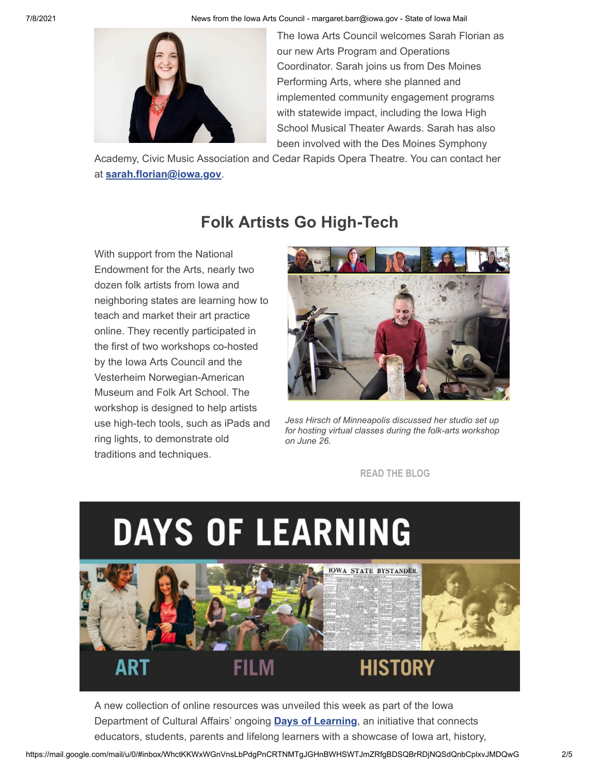

The Iowa Arts Council welcomes Sarah Florian as our new Arts Program and Operations Coordinator. Sarah joins us from Des Moines Performing Arts, where she planned and implemented community engagement programs with statewide impact, including the Iowa High School Musical Theater Awards. Sarah has also been involved with the Des Moines Symphony

Academy, Civic Music Association and Cedar Rapids Opera Theatre. You can contact her at **[sarah.florian@iowa.gov](mailto:sarah.florian@iowa.gov)**.

## **Folk Artists Go High-Tech**

With support from the National Endowment for the Arts, nearly two dozen folk artists from Iowa and neighboring states are learning how to teach and market their art practice online. They recently participated in the first of two workshops co-hosted by the Iowa Arts Council and the Vesterheim Norwegian-American Museum and Folk Art School. The workshop is designed to help artists use high-tech tools, such as iPads and ring lights, to demonstrate old traditions and techniques.



*Jess Hirsch of Minneapolis discussed her studio set up for hosting virtual classes during the folk-arts workshop on June 26.*

**[READ THE BLOG](https://r20.rs6.net/tn.jsp?f=0011hkJV5o4lfrqeaVnLvhHF4Ad1OytEiTkD1QusyqP3NU_3-Y-bKO9quWOTXvbkZLnUItOR2BbejMEExljK67kcx2RIrSEPWwYtagmP846sGVaLeZy0wcKvlFoVoAo1RDgm-iFGQ1_l4AhdiCMpUJFSmPH_rwUUpJ2qFpZgQZjVATKCyQ_tFLEZpDbDj78fLDSDL_DYCoGk-0mouWo-YwvgSfeI3ob8qbZn53K3DT3TtztAPZ4nHCj20-8qKJCRQ3L&c=bUO0W_YQWc7v9_0gFXD3Q7Gn8bR8DIyMHZxhAFwx-uwoqPe-YG7RPw==&ch=5puikqJVA-QcOKncLG3XIYJWGa6uBT9bwaREJ4Fp2KFSwcfpAiwd4w==)**



A new collection of online resources was unveiled this week as part of the Iowa Department of Cultural Affairs' ongoing **[Days of Learning](https://r20.rs6.net/tn.jsp?f=0011hkJV5o4lfrqeaVnLvhHF4Ad1OytEiTkD1QusyqP3NU_3-Y-bKO9qiOxK8zSMXKg1kT7WaDa_GBqtbc9CzMlx9hH25N65O7VfqrqsYqi5EFldDGGk0lc9CanxEVToVHJwv86TWvIiq8wegAvIHDZkA==&c=bUO0W_YQWc7v9_0gFXD3Q7Gn8bR8DIyMHZxhAFwx-uwoqPe-YG7RPw==&ch=5puikqJVA-QcOKncLG3XIYJWGa6uBT9bwaREJ4Fp2KFSwcfpAiwd4w==)**, an initiative that connects educators, students, parents and lifelong learners with a showcase of Iowa art, history,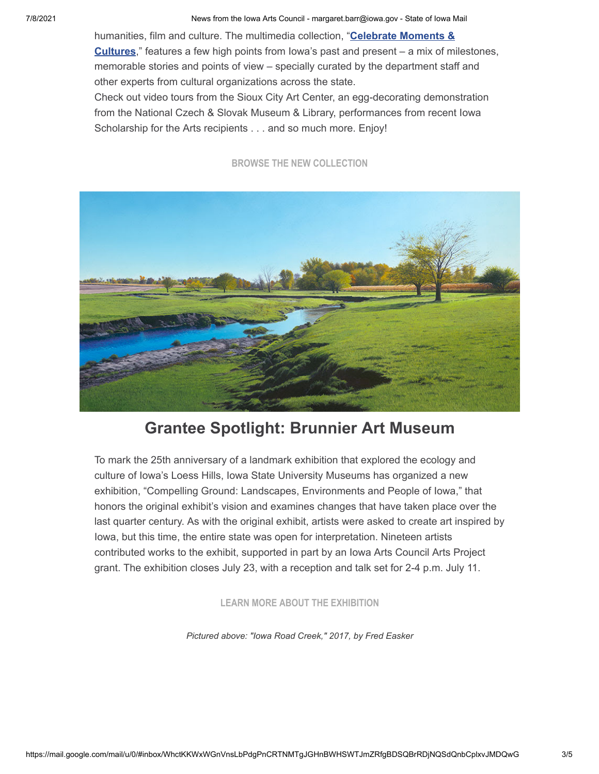humanities, film and culture. The multimedia collection, "**Celebrate Moments & Cultures**[," features a few high points from Iowa's past and present – a mix of mi](https://r20.rs6.net/tn.jsp?f=0011hkJV5o4lfrqeaVnLvhHF4Ad1OytEiTkD1QusyqP3NU_3-Y-bKO9qqHizTdci5ukhxIyia2-FLSf_tXD-LcerhVhVw5857fB-9uIeejBaZB73BOeoUCyei6hfMsosXECtkKLhfSSIGTWkJ-ySkMvqCCNovpkrbzE4Mj_FpwvyK-EBhL0bLHF3sCD2hcqDlx7&c=bUO0W_YQWc7v9_0gFXD3Q7Gn8bR8DIyMHZxhAFwx-uwoqPe-YG7RPw==&ch=5puikqJVA-QcOKncLG3XIYJWGa6uBT9bwaREJ4Fp2KFSwcfpAiwd4w==)lestones, memorable stories and points of view – specially curated by the department staff and other experts from cultural organizations across the state.

Check out video tours from the Sioux City Art Center, an egg-decorating demonstration from the National Czech & Slovak Museum & Library, performances from recent Iowa Scholarship for the Arts recipients . . . and so much more. Enjoy!

#### **[BROWSE THE NEW COLLECTION](https://r20.rs6.net/tn.jsp?f=0011hkJV5o4lfrqeaVnLvhHF4Ad1OytEiTkD1QusyqP3NU_3-Y-bKO9qqHizTdci5ukhxIyia2-FLSf_tXD-LcerhVhVw5857fB-9uIeejBaZB73BOeoUCyei6hfMsosXECtkKLhfSSIGTWkJ-ySkMvqCCNovpkrbzE4Mj_FpwvyK-EBhL0bLHF3sCD2hcqDlx7&c=bUO0W_YQWc7v9_0gFXD3Q7Gn8bR8DIyMHZxhAFwx-uwoqPe-YG7RPw==&ch=5puikqJVA-QcOKncLG3XIYJWGa6uBT9bwaREJ4Fp2KFSwcfpAiwd4w==)**



### **Grantee Spotlight: Brunnier Art Museum**

To mark the 25th anniversary of a landmark exhibition that explored the ecology and culture of Iowa's Loess Hills, Iowa State University Museums has organized a new exhibition, "Compelling Ground: Landscapes, Environments and People of Iowa," that honors the original exhibit's vision and examines changes that have taken place over the last quarter century. As with the original exhibit, artists were asked to create art inspired by Iowa, but this time, the entire state was open for interpretation. Nineteen artists contributed works to the exhibit, supported in part by an Iowa Arts Council Arts Project grant. The exhibition closes July 23, with a reception and talk set for 2-4 p.m. July 11.

**[LEARN MORE ABOUT THE EXHIBITION](https://r20.rs6.net/tn.jsp?f=0011hkJV5o4lfrqeaVnLvhHF4Ad1OytEiTkD1QusyqP3NU_3-Y-bKO9quWOTXvbkZLnL4WE3FnE-O9iGKTHN8nMcpHlYAUtwSHxytZ9_TR-stNC_xCDMpAwU_8eEEibTNOvasEh1IvAvUkvW_HuCt77ETN42knjPU9z5hYTYYoQYbDdXONoMh0fzTn1mIk9v6vj3aIF_qVYukE=&c=bUO0W_YQWc7v9_0gFXD3Q7Gn8bR8DIyMHZxhAFwx-uwoqPe-YG7RPw==&ch=5puikqJVA-QcOKncLG3XIYJWGa6uBT9bwaREJ4Fp2KFSwcfpAiwd4w==)**

*Pictured above: "Iowa Road Creek," 2017, by Fred Easker*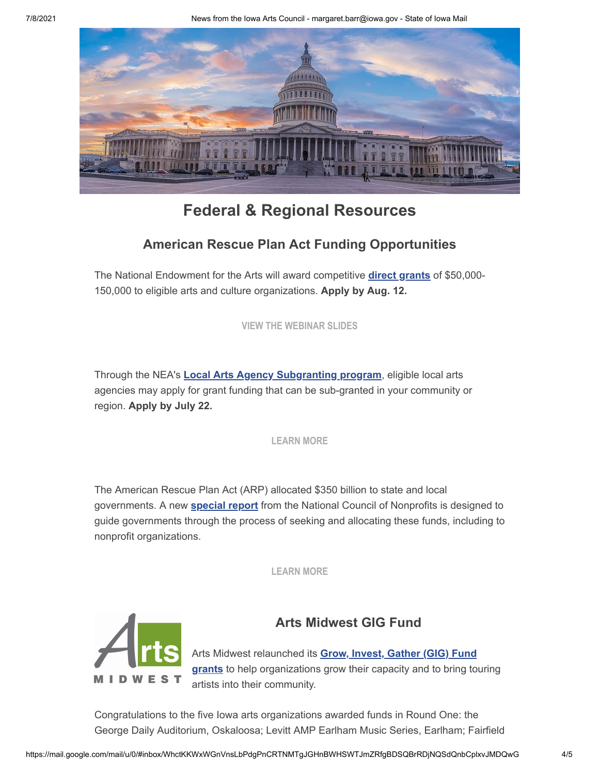

## **Federal & Regional Resources**

#### **American Rescue Plan Act Funding Opportunities**

The National Endowment for the Arts will award competitive **[direct grants](https://r20.rs6.net/tn.jsp?f=0011hkJV5o4lfrqeaVnLvhHF4Ad1OytEiTkD1QusyqP3NU_3-Y-bKO9qjB0Xib18OCddo-EM7xkjbqZ7RH_YDJrOMFAk_o8VDdUvjCs66LjxsyUNiFMhtX7ZMuAgBzgTvAQ0bTv27Il3nLNEDcbxtk2HMlrT2GGGKmOHL2vzQZJJ-y0lKyQk1ItJ1d_DMK9lAta&c=bUO0W_YQWc7v9_0gFXD3Q7Gn8bR8DIyMHZxhAFwx-uwoqPe-YG7RPw==&ch=5puikqJVA-QcOKncLG3XIYJWGa6uBT9bwaREJ4Fp2KFSwcfpAiwd4w==)** of \$50,000- 150,000 to eligible arts and culture organizations. **Apply by Aug. 12.**

**[VIEW THE WEBINAR SLIDES](https://r20.rs6.net/tn.jsp?f=0011hkJV5o4lfrqeaVnLvhHF4Ad1OytEiTkD1QusyqP3NU_3-Y-bKO9quWOTXvbkZLnfiVO__hukK4CYpAiUHU0pr-v6LRdY5DS2jZQXaQkN2lkWI7JyzUBH3dlPe-9l0kVE3zuh5reXTZqai_yWuZxvPq8HnStBAuso3u002Hz7xFFmTLhtxs5RYD41JjK8D4jB36G0WUAe_BJWmmibxNwSKFoP_3JZ8qc6_fhWGXGFaLyMBUW2K0LTEsZaECgNIkVnRX3wbhZYmX4YPOQe619hg==&c=bUO0W_YQWc7v9_0gFXD3Q7Gn8bR8DIyMHZxhAFwx-uwoqPe-YG7RPw==&ch=5puikqJVA-QcOKncLG3XIYJWGa6uBT9bwaREJ4Fp2KFSwcfpAiwd4w==)**

Through the NEA's **[Local Arts Agency Subgranting program](https://r20.rs6.net/tn.jsp?f=0011hkJV5o4lfrqeaVnLvhHF4Ad1OytEiTkD1QusyqP3NU_3-Y-bKO9quWOTXvbkZLnPCCtDfpsKdMf_6aFWyBrDFJKzVRtpo-sdlnoYdeD4wsV_kaW-LtoolbEEKX9quIUY-atscNr51C_z7PJefBN4IENEDLz-Sv9WAWCYBW0Xt2ehpnv3FNaGEy-OcByjpX-5IWuWuj_mcc_988FjrHLTkyoVlqC9Vfti68F06XduAdt9leElEM36bYPsNZnwCW26HAZMM4J19xgD4SBybbrKLW6sPuNwD2GUD6TcPS1vEM5A4VI-A2uxA==&c=bUO0W_YQWc7v9_0gFXD3Q7Gn8bR8DIyMHZxhAFwx-uwoqPe-YG7RPw==&ch=5puikqJVA-QcOKncLG3XIYJWGa6uBT9bwaREJ4Fp2KFSwcfpAiwd4w==)**, eligible local arts agencies may apply for grant funding that can be sub-granted in your community or region. **Apply by July 22.**

**[LEARN MORE](https://r20.rs6.net/tn.jsp?f=0011hkJV5o4lfrqeaVnLvhHF4Ad1OytEiTkD1QusyqP3NU_3-Y-bKO9quWOTXvbkZLn_jsPsHr4P1Y_pG8dprVZHVlEyz8vl4SI98kR8tDiIpYqO8swCDuXDysN8Pvcn2PYYqsPcbew17jvsT0bzSsMKnkhCI6rxrO8LedyO4qlZZj4u9G1y41PMMW45AapB--jPw_zF454H5yHrc_yHw1IBMubyXMAwcQpoTI_SEzi9sbHTNpzVLJCIWN-IkX7l4uPA2GbNosIUxiaWXgUMUdP9j1IxuNCM0CBMw6mjNh_rwUCFvP4Y5aEVg==&c=bUO0W_YQWc7v9_0gFXD3Q7Gn8bR8DIyMHZxhAFwx-uwoqPe-YG7RPw==&ch=5puikqJVA-QcOKncLG3XIYJWGa6uBT9bwaREJ4Fp2KFSwcfpAiwd4w==)**

The American Rescue Plan Act (ARP) allocated \$350 billion to state and local governments. A new **[special report](https://r20.rs6.net/tn.jsp?f=0011hkJV5o4lfrqeaVnLvhHF4Ad1OytEiTkD1QusyqP3NU_3-Y-bKO9quWOTXvbkZLnGwCy8bO8PSaRiSKbOfQz9dwPfMTLQoaoMNlGHiV3NEspsiM_FbNmj7sFiQY51dG2HjVOVmmmCjBaV9vWU9fv3H3XaqaeV3hXG6uO3c184XUAS0urdMcEQpYRoXFHWTGyiQ3ufHrJhGglQuJvM3wYwOd7YkroiF4-27OvsvLa0iKbqmHRzvLFIvEHZmHt3DWYU3Nb1fzpJLQ3HD26yVL7cg==&c=bUO0W_YQWc7v9_0gFXD3Q7Gn8bR8DIyMHZxhAFwx-uwoqPe-YG7RPw==&ch=5puikqJVA-QcOKncLG3XIYJWGa6uBT9bwaREJ4Fp2KFSwcfpAiwd4w==)** from the National Council of Nonprofits is designed to guide governments through the process of seeking and allocating these funds, including to nonprofit organizations.

**[LEARN MORE](https://r20.rs6.net/tn.jsp?f=0011hkJV5o4lfrqeaVnLvhHF4Ad1OytEiTkD1QusyqP3NU_3-Y-bKO9quWOTXvbkZLnGwCy8bO8PSaRiSKbOfQz9dwPfMTLQoaoMNlGHiV3NEspsiM_FbNmj7sFiQY51dG2HjVOVmmmCjBaV9vWU9fv3H3XaqaeV3hXG6uO3c184XUAS0urdMcEQpYRoXFHWTGyiQ3ufHrJhGglQuJvM3wYwOd7YkroiF4-27OvsvLa0iKbqmHRzvLFIvEHZmHt3DWYU3Nb1fzpJLQ3HD26yVL7cg==&c=bUO0W_YQWc7v9_0gFXD3Q7Gn8bR8DIyMHZxhAFwx-uwoqPe-YG7RPw==&ch=5puikqJVA-QcOKncLG3XIYJWGa6uBT9bwaREJ4Fp2KFSwcfpAiwd4w==)**



#### **Arts Midwest GIG Fund**

Arts Midwest relaunched its **Grow, Invest, Gather (GIG) Fund grants** [to help organizations grow their capacity and to bring to](https://r20.rs6.net/tn.jsp?f=0011hkJV5o4lfrqeaVnLvhHF4Ad1OytEiTkD1QusyqP3NU_3-Y-bKO9quWOTXvbkZLnY-XqJkc0fyNnZTJD_B6biGjgPeX_8s-ej_toBJCWWbO4_7Ut1Oax5HVbieqHrVybQesThII1OHBSukrEOHrz7Q-WkZnlApNdxDHeuyM96r4SfO7hkm8n-Gca4qNqWb-xhGGAI7V0gjVnNlpFj6wMnEkSuqGgJd8m&c=bUO0W_YQWc7v9_0gFXD3Q7Gn8bR8DIyMHZxhAFwx-uwoqPe-YG7RPw==&ch=5puikqJVA-QcOKncLG3XIYJWGa6uBT9bwaREJ4Fp2KFSwcfpAiwd4w==)uring artists into their community.

Congratulations to the five Iowa arts organizations awarded funds in Round One: the George Daily Auditorium, Oskaloosa; Levitt AMP Earlham Music Series, Earlham; Fairfield